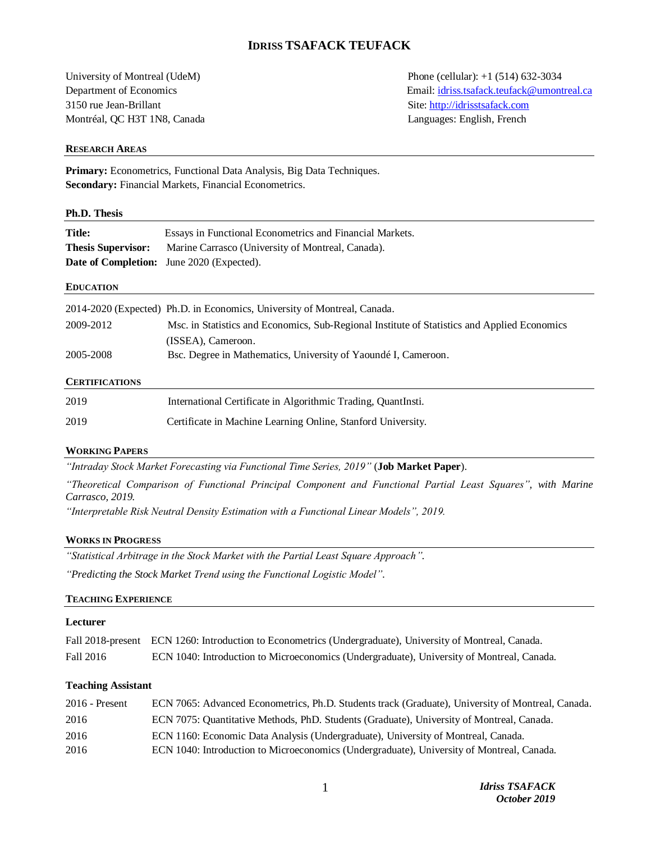# **IDRISS TSAFACK TEUFACK**

3150 rue Jean-Brillant Site: [http://idrisstsafack.com](http://idrisstsafack.com/) Montréal, QC H3T 1N8, Canada Languages: English, French

University of Montreal (UdeM) Phone (cellular): +1 (514) 632-3034 Department of Economics Email[: idriss.tsafack.teufack@umontreal.ca](mailto:idriss.tsafack.teufack@umontreal.ca)

#### **RESEARCH AREAS**

**Primary:** Econometrics, Functional Data Analysis, Big Data Techniques. **Secondary:** Financial Markets, Financial Econometrics.

#### **Ph.D. Thesis**

| <b>Title:</b>                                                                  | Essays in Functional Econometrics and Financial Markets. |  |
|--------------------------------------------------------------------------------|----------------------------------------------------------|--|
| <b>Thesis Supervisor:</b><br>Marine Carrasco (University of Montreal, Canada). |                                                          |  |
|                                                                                | <b>Date of Completion:</b> June 2020 (Expected).         |  |

#### **EDUCATION**

|                       | 2014-2020 (Expected) Ph.D. in Economics, University of Montreal, Canada.                     |  |
|-----------------------|----------------------------------------------------------------------------------------------|--|
| 2009-2012             | Msc. in Statistics and Economics, Sub-Regional Institute of Statistics and Applied Economics |  |
|                       | (ISSEA), Cameroon.                                                                           |  |
| 2005-2008             | Bsc. Degree in Mathematics, University of Yaoundé I, Cameroon.                               |  |
| <b>CERTIFICATIONS</b> |                                                                                              |  |
| 2019                  | International Certificate in Algorithmic Trading QuantInsti                                  |  |

| <b>2019</b> | mernational Certificate in Algorithmic Trading, Quantinsu.   |
|-------------|--------------------------------------------------------------|
| 2019        | Certificate in Machine Learning Online, Stanford University. |

### **WORKING PAPERS**

*"Intraday Stock Market Forecasting via Functional Time Series, 2019"* (**Job Market Paper**).

*"Theoretical Comparison of Functional Principal Component and Functional Partial Least Squares", with Marine Carrasco, 2019.*

*"Interpretable Risk Neutral Density Estimation with a Functional Linear Models", 2019.* 

### **WORKS IN PROGRESS**

*"Statistical Arbitrage in the Stock Market with the Partial Least Square Approach".*

*"Predicting the Stock Market Trend using the Functional Logistic Model".*

### **TEACHING EXPERIENCE**

#### **Lecturer**

|           | Fall 2018-present ECN 1260: Introduction to Econometrics (Undergraduate), University of Montreal, Canada. |
|-----------|-----------------------------------------------------------------------------------------------------------|
| Fall 2016 | ECN 1040: Introduction to Microeconomics (Undergraduate), University of Montreal, Canada.                 |

## **Teaching Assistant**

| $2016$ - Present | ECN 7065: Advanced Econometrics, Ph.D. Students track (Graduate), University of Montreal, Canada. |
|------------------|---------------------------------------------------------------------------------------------------|
| 2016             | ECN 7075: Quantitative Methods, PhD. Students (Graduate), University of Montreal, Canada.         |
| 2016             | ECN 1160: Economic Data Analysis (Undergraduate), University of Montreal, Canada.                 |
| 2016             | ECN 1040: Introduction to Microeconomics (Undergraduate), University of Montreal, Canada.         |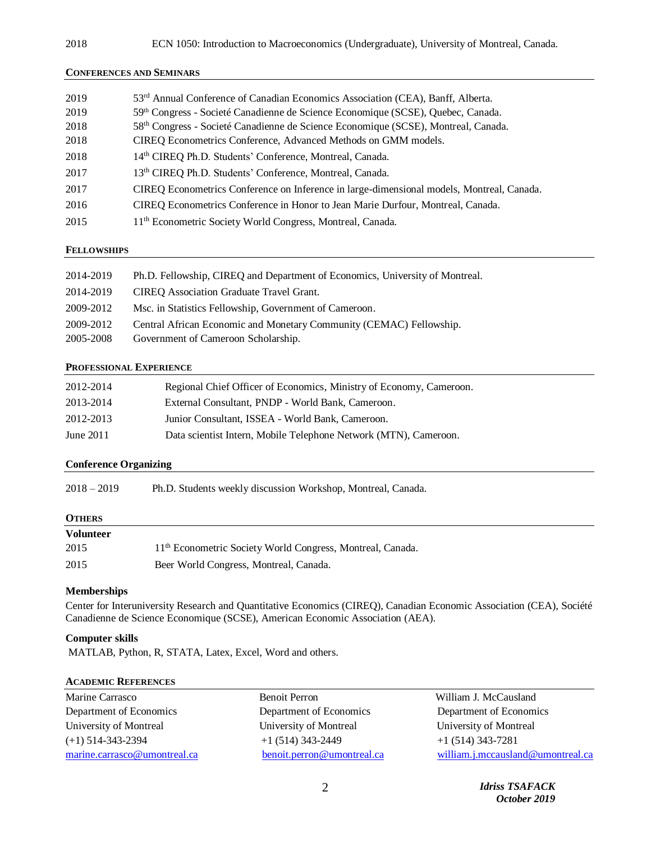#### **CONFERENCES AND SEMINARS**

| 2019 | 53 <sup>rd</sup> Annual Conference of Canadian Economics Association (CEA), Banff, Alberta.    |
|------|------------------------------------------------------------------------------------------------|
| 2019 | 59th Congress - Societé Canadienne de Science Economique (SCSE), Quebec, Canada.               |
| 2018 | 58 <sup>th</sup> Congress - Societé Canadienne de Science Economique (SCSE), Montreal, Canada. |
| 2018 | CIREQ Econometrics Conference, Advanced Methods on GMM models.                                 |
| 2018 | 14th CIREQ Ph.D. Students' Conference, Montreal, Canada.                                       |
| 2017 | 13th CIREQ Ph.D. Students' Conference, Montreal, Canada.                                       |
| 2017 | CIREQ Econometrics Conference on Inference in large-dimensional models, Montreal, Canada.      |
| 2016 | CIREO Econometrics Conference in Honor to Jean Marie Durfour, Montreal, Canada.                |
| 2015 | 11 <sup>th</sup> Econometric Society World Congress, Montreal, Canada.                         |

### **FELLOWSHIPS**

| 2014-2019 | Ph.D. Fellowship, CIREQ and Department of Economics, University of Montreal. |
|-----------|------------------------------------------------------------------------------|
| 2014-2019 | <b>CIREO</b> Association Graduate Travel Grant.                              |
| 2009-2012 | Msc. in Statistics Fellowship, Government of Cameroon.                       |
| 2009-2012 | Central African Economic and Monetary Community (CEMAC) Fellowship.          |
| 2005-2008 | Government of Cameroon Scholarship.                                          |

## **PROFESSIONAL EXPERIENCE**

| 2012-2014   | Regional Chief Officer of Economics, Ministry of Economy, Cameroon. |
|-------------|---------------------------------------------------------------------|
| 2013-2014   | External Consultant, PNDP - World Bank, Cameroon.                   |
| 2012-2013   | Junior Consultant, ISSEA - World Bank, Cameroon.                    |
| June $2011$ | Data scientist Intern, Mobile Telephone Network (MTN), Cameroon.    |

### **Conference Organizing**

### **OTHERS**

| <b>Volunteer</b> |                                                                        |  |
|------------------|------------------------------------------------------------------------|--|
| 2015             | 11 <sup>th</sup> Econometric Society World Congress, Montreal, Canada. |  |
| 2015             | Beer World Congress, Montreal, Canada.                                 |  |

# **Memberships**

Center for Interuniversity Research and Quantitative Economics (CIREQ), Canadian Economic Association (CEA), Société Canadienne de Science Economique (SCSE), American Economic Association (AEA).

# **Computer skills**

MATLAB, Python, R, STATA, Latex, Excel, Word and others.

#### **ACADEMIC REFERENCES**

| Marine Carrasco              | <b>Benoit Perron</b>       | William J. McCausland             |
|------------------------------|----------------------------|-----------------------------------|
| Department of Economics      | Department of Economics    | Department of Economics           |
| University of Montreal       | University of Montreal     | University of Montreal            |
| $(+1)$ 514-343-2394          | $+1$ (514) 343-2449        | $+1$ (514) 343-7281               |
| marine.carrasco@umontreal.ca | benoit.perron@umontreal.ca | william.j.mccausland@umontreal.ca |